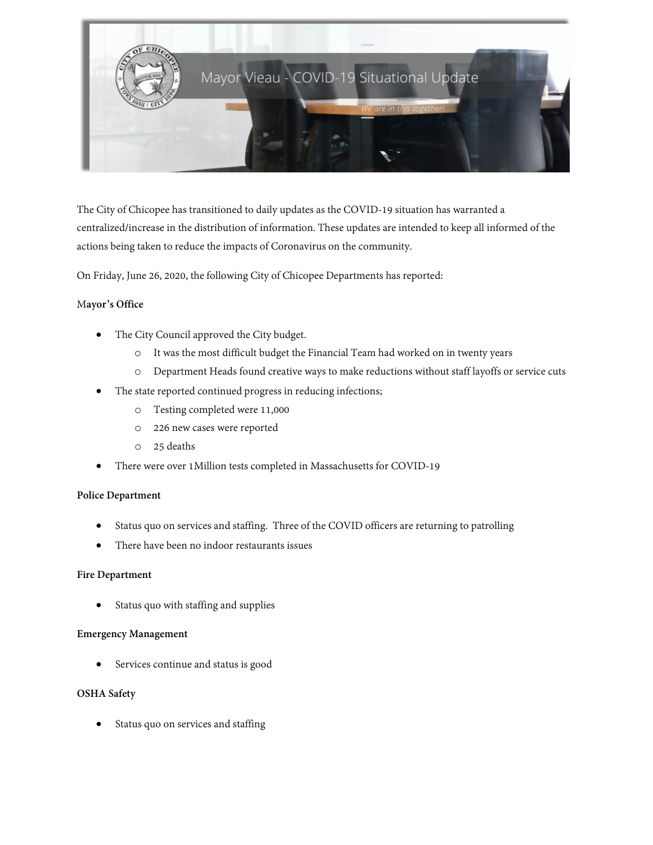

The City of Chicopee has transitioned to daily updates as the COVID-19 situation has warranted a centralized/increase in the distribution of information. These updates are intended to keep all informed of the actions being taken to reduce the impacts of Coronavirus on the community.

On Friday, June 26, 2020, the following City of Chicopee Departments has reported:

### M**ayor's Office**

- The City Council approved the City budget.
	- o It was the most difficult budget the Financial Team had worked on in twenty years
	- o Department Heads found creative ways to make reductions without staff layoffs or service cuts
- The state reported continued progress in reducing infections;
	- o Testing completed were 11,000
	- o 226 new cases were reported
	- o 25 deaths
- There were over 1Million tests completed in Massachusetts for COVID-19

#### **Police Department**

- Status quo on services and staffing. Three of the COVID officers are returning to patrolling
- There have been no indoor restaurants issues

#### **Fire Department**

• Status quo with staffing and supplies

### **Emergency Management**

• Services continue and status is good

## **OSHA Safety**

Status quo on services and staffing